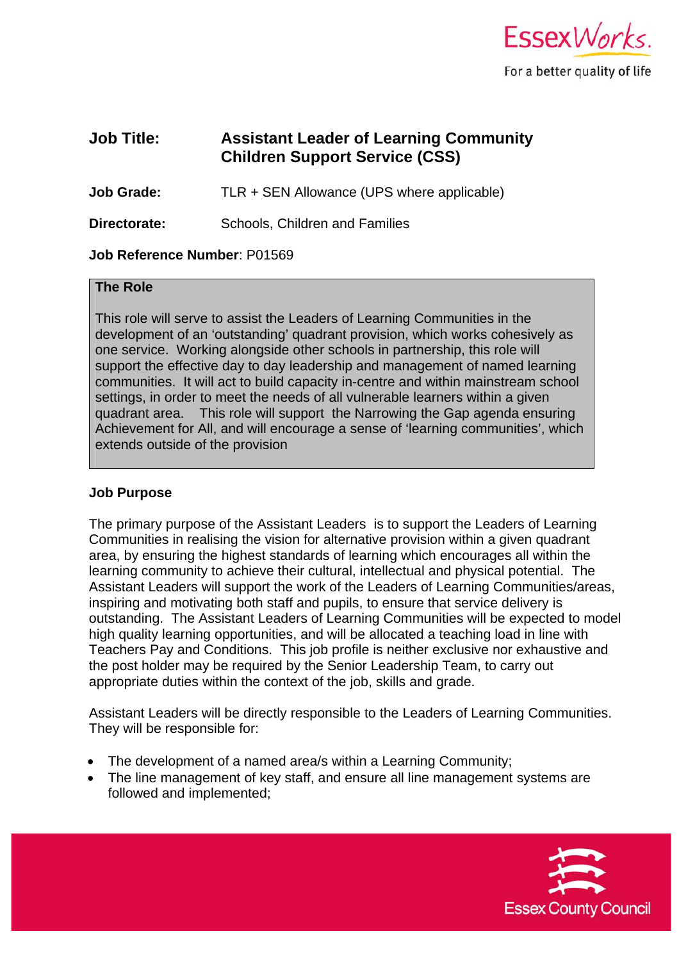

# **Job Title: Assistant Leader of Learning Community Children Support Service (CSS)**

**Job Grade:** TLR + SEN Allowance (UPS where applicable)

**Directorate:** Schools, Children and Families

## **Job Reference Number**: P01569

#### **The Role**

This role will serve to assist the Leaders of Learning Communities in the development of an 'outstanding' quadrant provision, which works cohesively as one service. Working alongside other schools in partnership, this role will support the effective day to day leadership and management of named learning communities. It will act to build capacity in-centre and within mainstream school settings, in order to meet the needs of all vulnerable learners within a given quadrant area. This role will support the Narrowing the Gap agenda ensuring Achievement for All, and will encourage a sense of 'learning communities', which extends outside of the provision

## **Job Purpose**

The primary purpose of the Assistant Leaders is to support the Leaders of Learning Communities in realising the vision for alternative provision within a given quadrant area, by ensuring the highest standards of learning which encourages all within the learning community to achieve their cultural, intellectual and physical potential. The Assistant Leaders will support the work of the Leaders of Learning Communities/areas, inspiring and motivating both staff and pupils, to ensure that service delivery is outstanding. The Assistant Leaders of Learning Communities will be expected to model high quality learning opportunities, and will be allocated a teaching load in line with Teachers Pay and Conditions. This job profile is neither exclusive nor exhaustive and the post holder may be required by the Senior Leadership Team, to carry out appropriate duties within the context of the job, skills and grade.

Assistant Leaders will be directly responsible to the Leaders of Learning Communities. They will be responsible for:

- The development of a named area/s within a Learning Community;
- The line management of key staff, and ensure all line management systems are followed and implemented;

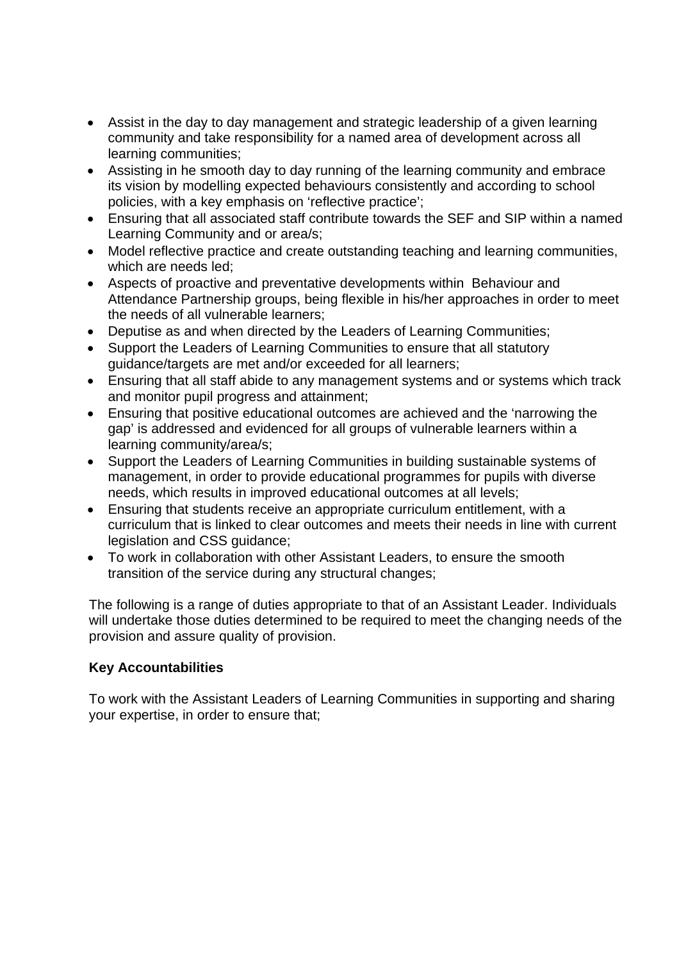- Assist in the day to day management and strategic leadership of a given learning community and take responsibility for a named area of development across all learning communities;
- Assisting in he smooth day to day running of the learning community and embrace its vision by modelling expected behaviours consistently and according to school policies, with a key emphasis on 'reflective practice';
- Ensuring that all associated staff contribute towards the SEF and SIP within a named Learning Community and or area/s;
- Model reflective practice and create outstanding teaching and learning communities, which are needs led;
- Aspects of proactive and preventative developments within Behaviour and Attendance Partnership groups, being flexible in his/her approaches in order to meet the needs of all vulnerable learners;
- Deputise as and when directed by the Leaders of Learning Communities;
- Support the Leaders of Learning Communities to ensure that all statutory guidance/targets are met and/or exceeded for all learners;
- Ensuring that all staff abide to any management systems and or systems which track and monitor pupil progress and attainment;
- Ensuring that positive educational outcomes are achieved and the 'narrowing the gap' is addressed and evidenced for all groups of vulnerable learners within a learning community/area/s;
- Support the Leaders of Learning Communities in building sustainable systems of management, in order to provide educational programmes for pupils with diverse needs, which results in improved educational outcomes at all levels;
- Ensuring that students receive an appropriate curriculum entitlement, with a curriculum that is linked to clear outcomes and meets their needs in line with current legislation and CSS guidance;
- To work in collaboration with other Assistant Leaders, to ensure the smooth transition of the service during any structural changes;

The following is a range of duties appropriate to that of an Assistant Leader. Individuals will undertake those duties determined to be required to meet the changing needs of the provision and assure quality of provision.

# **Key Accountabilities**

To work with the Assistant Leaders of Learning Communities in supporting and sharing your expertise, in order to ensure that;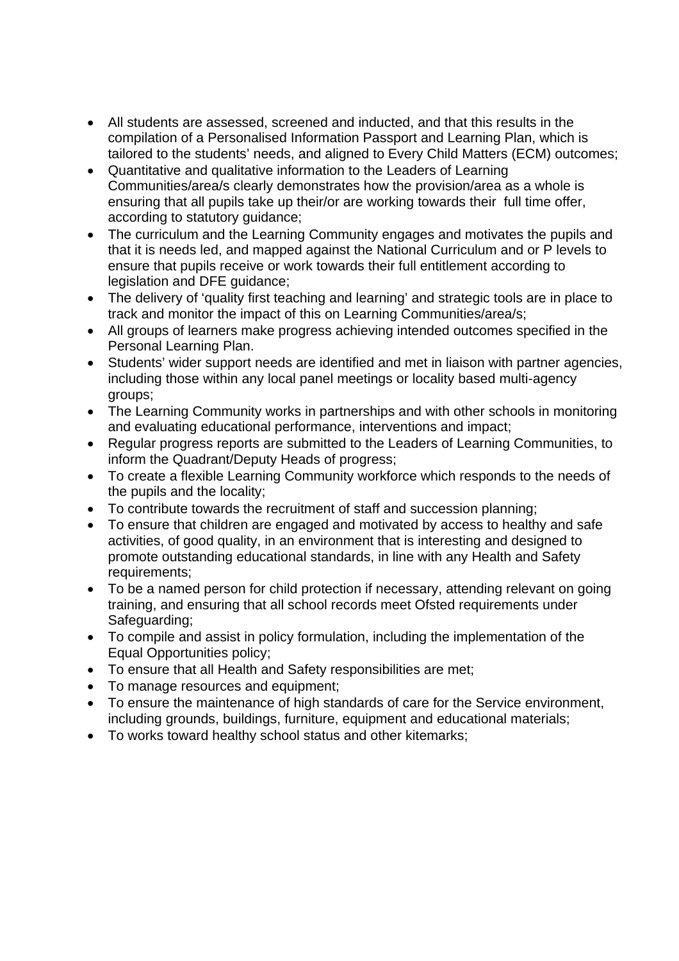- All students are assessed, screened and inducted, and that this results in the compilation of a Personalised Information Passport and Learning Plan, which is tailored to the students' needs, and aligned to Every Child Matters (ECM) outcomes;
- Quantitative and qualitative information to the Leaders of Learning Communities/area/s clearly demonstrates how the provision/area as a whole is ensuring that all pupils take up their/or are working towards their full time offer, according to statutory guidance;
- The curriculum and the Learning Community engages and motivates the pupils and that it is needs led, and mapped against the National Curriculum and or P levels to ensure that pupils receive or work towards their full entitlement according to legislation and DFE guidance;
- The delivery of 'quality first teaching and learning' and strategic tools are in place to track and monitor the impact of this on Learning Communities/area/s;
- All groups of learners make progress achieving intended outcomes specified in the Personal Learning Plan.
- Students' wider support needs are identified and met in liaison with partner agencies, including those within any local panel meetings or locality based multi-agency groups;
- The Learning Community works in partnerships and with other schools in monitoring and evaluating educational performance, interventions and impact;
- Regular progress reports are submitted to the Leaders of Learning Communities, to inform the Quadrant/Deputy Heads of progress;
- To create a flexible Learning Community workforce which responds to the needs of the pupils and the locality;
- To contribute towards the recruitment of staff and succession planning;
- To ensure that children are engaged and motivated by access to healthy and safe activities, of good quality, in an environment that is interesting and designed to promote outstanding educational standards, in line with any Health and Safety requirements;
- To be a named person for child protection if necessary, attending relevant on going training, and ensuring that all school records meet Ofsted requirements under Safeguarding:
- To compile and assist in policy formulation, including the implementation of the Equal Opportunities policy;
- To ensure that all Health and Safety responsibilities are met;
- To manage resources and equipment;
- To ensure the maintenance of high standards of care for the Service environment, including grounds, buildings, furniture, equipment and educational materials;
- To works toward healthy school status and other kitemarks;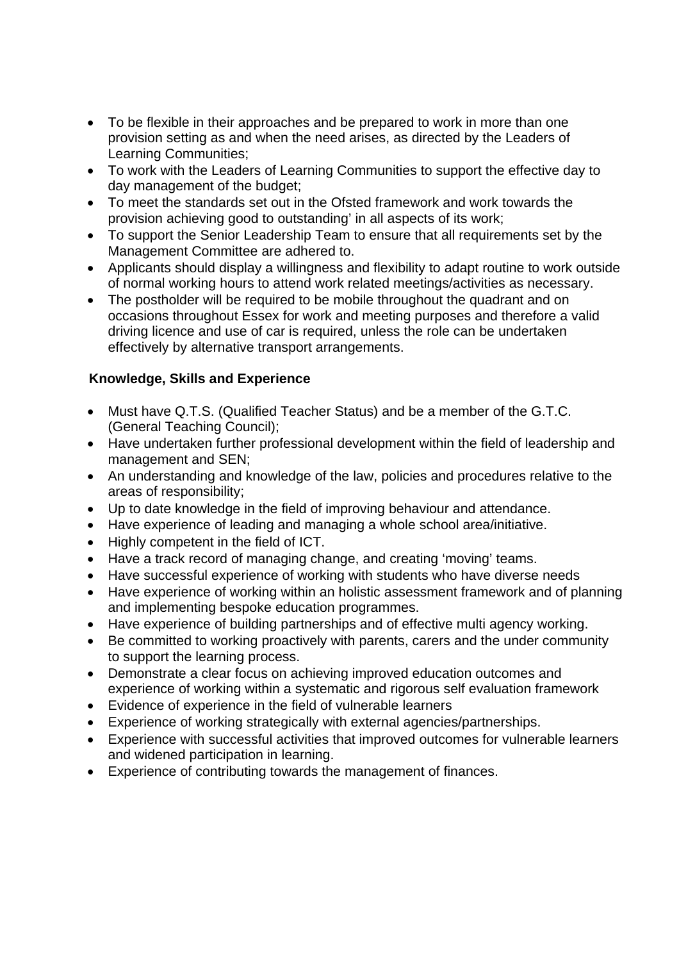- To be flexible in their approaches and be prepared to work in more than one provision setting as and when the need arises, as directed by the Leaders of Learning Communities;
- To work with the Leaders of Learning Communities to support the effective day to day management of the budget;
- To meet the standards set out in the Ofsted framework and work towards the provision achieving good to outstanding' in all aspects of its work;
- To support the Senior Leadership Team to ensure that all requirements set by the Management Committee are adhered to.
- Applicants should display a willingness and flexibility to adapt routine to work outside of normal working hours to attend work related meetings/activities as necessary.
- The postholder will be required to be mobile throughout the quadrant and on occasions throughout Essex for work and meeting purposes and therefore a valid driving licence and use of car is required, unless the role can be undertaken effectively by alternative transport arrangements.

# **Knowledge, Skills and Experience**

- Must have Q.T.S. (Qualified Teacher Status) and be a member of the G.T.C. (General Teaching Council);
- Have undertaken further professional development within the field of leadership and management and SEN;
- An understanding and knowledge of the law, policies and procedures relative to the areas of responsibility;
- Up to date knowledge in the field of improving behaviour and attendance.
- Have experience of leading and managing a whole school area/initiative.
- Highly competent in the field of ICT.
- Have a track record of managing change, and creating 'moving' teams.
- Have successful experience of working with students who have diverse needs
- Have experience of working within an holistic assessment framework and of planning and implementing bespoke education programmes.
- Have experience of building partnerships and of effective multi agency working.
- Be committed to working proactively with parents, carers and the under community to support the learning process.
- Demonstrate a clear focus on achieving improved education outcomes and experience of working within a systematic and rigorous self evaluation framework
- Evidence of experience in the field of vulnerable learners
- Experience of working strategically with external agencies/partnerships.
- Experience with successful activities that improved outcomes for vulnerable learners and widened participation in learning.
- Experience of contributing towards the management of finances.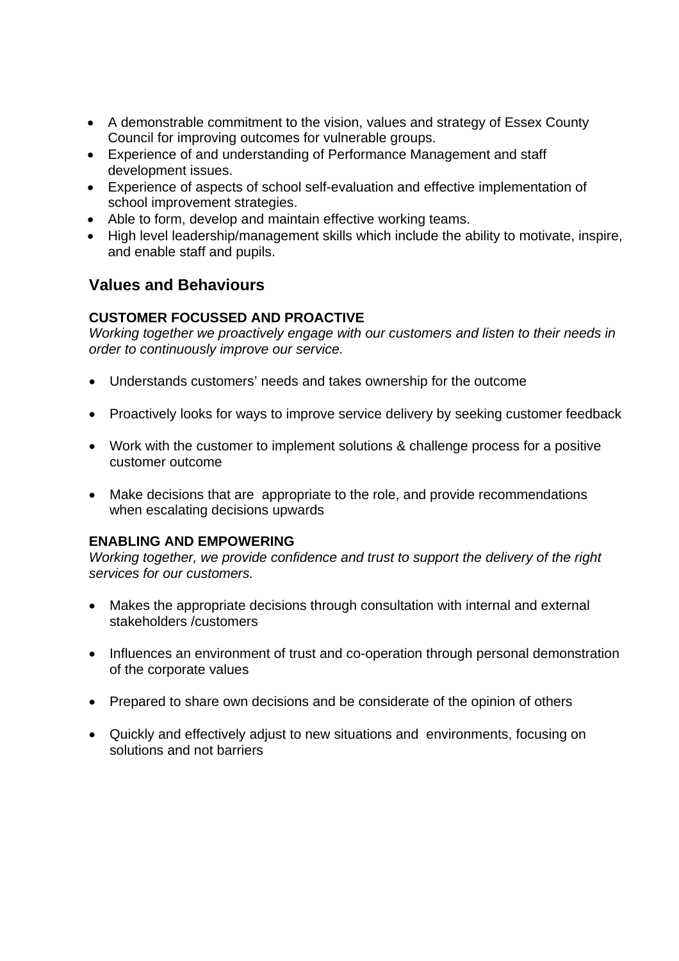- A demonstrable commitment to the vision, values and strategy of Essex County Council for improving outcomes for vulnerable groups.
- Experience of and understanding of Performance Management and staff development issues.
- Experience of aspects of school self-evaluation and effective implementation of school improvement strategies.
- Able to form, develop and maintain effective working teams.
- High level leadership/management skills which include the ability to motivate, inspire, and enable staff and pupils.

# **Values and Behaviours**

## **CUSTOMER FOCUSSED AND PROACTIVE**

*Working together we proactively engage with our customers and listen to their needs in order to continuously improve our service.* 

- Understands customers' needs and takes ownership for the outcome
- Proactively looks for ways to improve service delivery by seeking customer feedback
- Work with the customer to implement solutions & challenge process for a positive customer outcome
- Make decisions that are appropriate to the role, and provide recommendations when escalating decisions upwards

## **ENABLING AND EMPOWERING**

*Working together, we provide confidence and trust to support the delivery of the right services for our customers.* 

- Makes the appropriate decisions through consultation with internal and external stakeholders /customers
- Influences an environment of trust and co-operation through personal demonstration of the corporate values
- Prepared to share own decisions and be considerate of the opinion of others
- Quickly and effectively adjust to new situations and environments, focusing on solutions and not barriers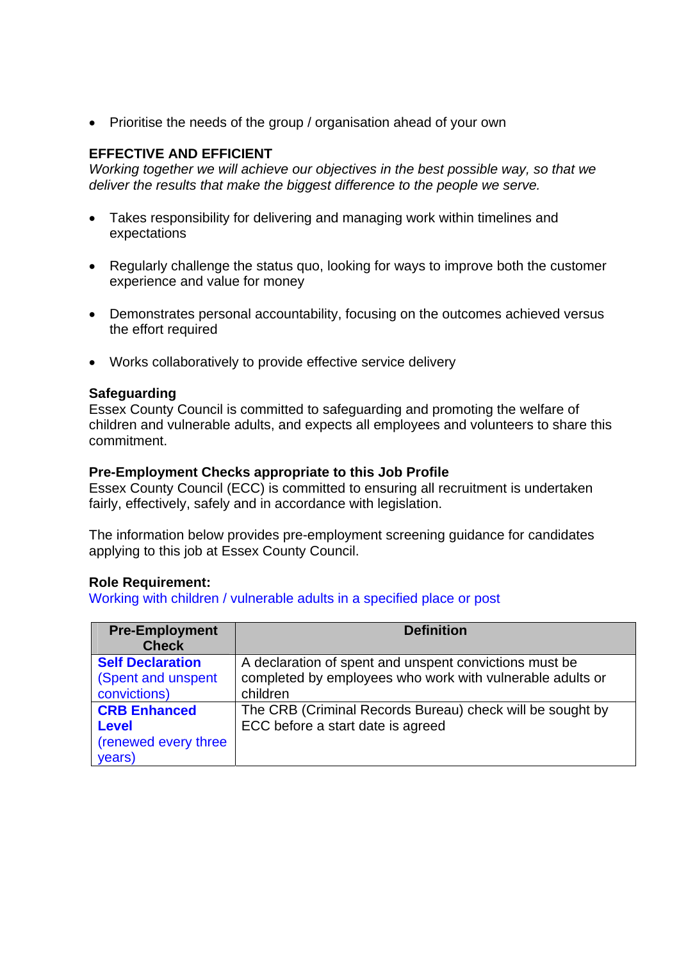• Prioritise the needs of the group / organisation ahead of your own

## **EFFECTIVE AND EFFICIENT**

*Working together we will achieve our objectives in the best possible way, so that we deliver the results that make the biggest difference to the people we serve.* 

- Takes responsibility for delivering and managing work within timelines and expectations
- Regularly challenge the status quo, looking for ways to improve both the customer experience and value for money
- Demonstrates personal accountability, focusing on the outcomes achieved versus the effort required
- Works collaboratively to provide effective service delivery

### **Safeguarding**

Essex County Council is committed to safeguarding and promoting the welfare of children and vulnerable adults, and expects all employees and volunteers to share this commitment.

### **Pre-Employment Checks appropriate to this Job Profile**

Essex County Council (ECC) is committed to ensuring all recruitment is undertaken fairly, effectively, safely and in accordance with legislation.

The information below provides pre-employment screening guidance for candidates applying to this job at Essex County Council.

#### **Role Requirement:**

Working with children / vulnerable adults in a specified place or post

| <b>Pre-Employment</b><br><b>Check</b> | <b>Definition</b>                                                     |
|---------------------------------------|-----------------------------------------------------------------------|
| <b>Self Declaration</b>               | A declaration of spent and unspent convictions must be                |
| (Spent and unspent<br>convictions)    | completed by employees who work with vulnerable adults or<br>children |
| <b>CRB Enhanced</b>                   | The CRB (Criminal Records Bureau) check will be sought by             |
| <b>Level</b>                          | ECC before a start date is agreed                                     |
| (renewed every three                  |                                                                       |
| years)                                |                                                                       |